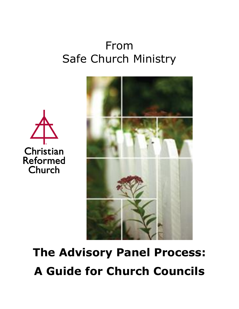# From Safe Church Ministry





# **The Advisory Panel Process: A Guide for Church Councils**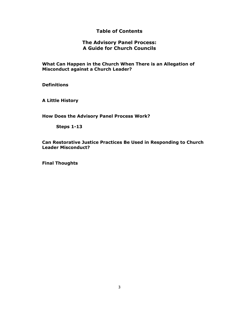# **Table of Contents**

# **The Advisory Panel Process: A Guide for Church Councils**

**What Can Happen in the Church When There is an Allegation of Misconduct against a Church Leader?** 

**Definitions**

**A Little History**

**How Does the Advisory Panel Process Work?**

**Steps 1-13**

**Can Restorative Justice Practices Be Used in Responding to Church Leader Misconduct?**

**Final Thoughts**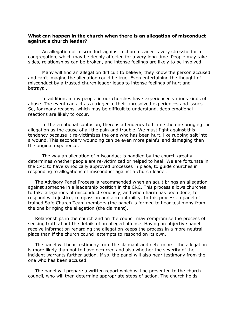#### **What can happen in the church when there is an allegation of misconduct against a church leader?**

An allegation of misconduct against a church leader is very stressful for a congregation, which may be deeply affected for a very long time. People may take sides, relationships can be broken, and intense feelings are likely to be involved.

Many will find an allegation difficult to believe; they know the person accused and can't imagine the allegation could be true. Even entertaining the thought of misconduct by a trusted church leader leads to intense feelings of hurt and betrayal.

In addition, many people in our churches have experienced various kinds of abuse. The event can act as a trigger to their unresolved experiences and issues. So, for many reasons, which may be difficult to understand, deep emotional reactions are likely to occur.

In the emotional confusion, there is a tendency to blame the one bringing the allegation as the cause of all the pain and trouble. We must fight against this tendency because it re-victimizes the one who has been hurt, like rubbing salt into a wound. This secondary wounding can be even more painful and damaging than the original experience.

The way an allegation of misconduct is handled by the church greatly determines whether people are re-victimized or helped to heal. We are fortunate in the CRC to have synodically approved processes in place, to guide churches in responding to allegations of misconduct against a church leader.

The Advisory Panel Process is recommended when an adult brings an allegation against someone in a leadership position in the CRC. This process allows churches to take allegations of misconduct seriously, and when harm has been done, to respond with justice, compassion and accountability. In this process, a panel of trained Safe Church Team members (the panel) is formed to hear testimony from the one bringing the allegation (the claimant).

Relationships in the church and on the council may compromise the process of seeking truth about the details of an alleged offense. Having an objective panel receive information regarding the allegation keeps the process in a more neutral place than if the church council attempts to respond on its own.

The panel will hear testimony from the claimant and determine if the allegation is more likely than not to have occurred and also whether the severity of the incident warrants further action. If so, the panel will also hear testimony from the one who has been accused.

The panel will prepare a written report which will be presented to the church council, who will then determine appropriate steps of action. The church holds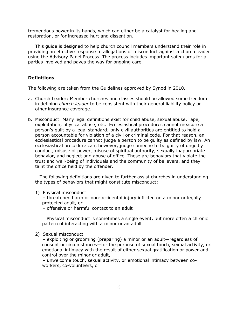tremendous power in its hands, which can either be a catalyst for healing and restoration, or for increased hurt and dissention.

This guide is designed to help church council members understand their role in providing an effective response to allegations of misconduct against a church leader using the Advisory Panel Process. The process includes important safeguards for all parties involved and paves the way for ongoing care.

# **Definitions**

The following are taken from the Guidelines approved by Synod in 2010.

- a. Church Leader: Member churches and classes should be allowed some freedom in defining *church leader* to be consistent with their general liability policy or other insurance coverage.
- b. Misconduct: Many legal definitions exist for child abuse, sexual abuse, rape, exploitation, physical abuse, etc. Ecclesiastical procedures cannot measure a person's guilt by a legal standard; only civil authorities are entitled to hold a person accountable for violation of a civil or criminal code. For that reason, an ecclesiastical procedure cannot judge a person to be guilty as defined by law. An ecclesiastical procedure can, however, judge someone to be guilty of ungodly conduct, misuse of power, misuse of spiritual authority, sexually inappropriate behavior, and neglect and abuse of office. These are behaviors that violate the trust and well-being of individuals and the community of believers, and they taint the office held by the offender.

 The following definitions are given to further assist churches in understanding the types of behaviors that might constitute misconduct:

- 1) Physical misconduct
	- threatened harm or non-accidental injury inflicted on a minor or legally protected adult, or
	- offensive or harmful contact to an adult

 Physical misconduct is sometimes a single event, but more often a chronic pattern of interacting with a minor or an adult

2) Sexual misconduct

 – exploiting or grooming (preparing) a minor or an adult—regardless of consent or circumstances—for the purpose of sexual touch, sexual activity, or emotional intimacy with the result of either sexual gratification or power and control over the minor or adult,

 – unwelcome touch, sexual activity, or emotional intimacy between coworkers, co-volunteers, or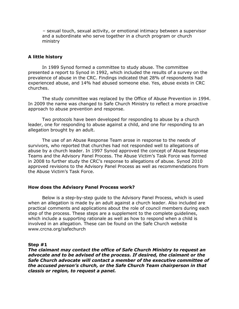– sexual touch, sexual activity, or emotional intimacy between a supervisor and a subordinate who serve together in a church program or church ministry

#### **A little history**

In 1989 Synod formed a committee to study abuse. The committee presented a report to Synod in 1992, which included the results of a survey on the prevalence of abuse in the CRC. Findings indicated that 28% of respondents had experienced abuse, and 14% had abused someone else. Yes, abuse exists in CRC churches.

The study committee was replaced by the Office of Abuse Prevention in 1994. In 2009 the name was changed to Safe Church Ministry to reflect a more proactive approach to abuse prevention and response.

Two protocols have been developed for responding to abuse by a church leader, one for responding to abuse against a child, and one for responding to an allegation brought by an adult.

The use of an Abuse Response Team arose in response to the needs of survivors, who reported that churches had not responded well to allegations of abuse by a church leader. In 1997 Synod approved the concept of Abuse Response Teams and the Advisory Panel Process. The Abuse Victim's Task Force was formed in 2008 to further study the CRC's response to allegations of abuse. Synod 2010 approved revisions to the Advisory Panel Process as well as recommendations from the Abuse Victim's Task Force.

#### **How does the Advisory Panel Process work?**

Below is a step-by-step guide to the Advisory Panel Process, which is used when an allegation is made by an adult against a church leader. Also included are practical comments and applications about the role of council members during each step of the process. These steps are a supplement to the complete guidelines, which include a supporting rationale as well as how to respond when a child is involved in an allegation. These can be found on the Safe Church website www.crcna.org/safechurch

#### **Step #1**

*The claimant may contact the office of Safe Church Ministry to request an advocate and to be advised of the process. If desired, the claimant or the Safe Church advocate will contact a member of the executive committee of the accused person's church, or the Safe Church Team chairperson in that classis or region, to request a panel.*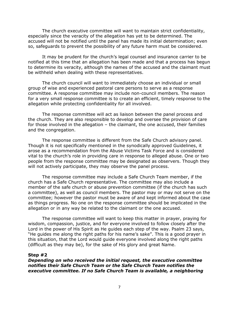The church executive committee will want to maintain strict confidentiality, especially since the veracity of the allegation has yet to be determined. The accused will not be notified until the panel has made its initial determination; even so, safeguards to prevent the possibility of any future harm must be considered.

It may be prudent for the church's legal counsel and insurance carrier to be notified at this time that an allegation has been made and that a process has begun to determine its veracity, although the names of the accused and the claimant must be withheld when dealing with these representatives.

The church council will want to immediately choose an individual or small group of wise and experienced pastoral care persons to serve as a response committee. A response committee may include non-council members. The reason for a very small response committee is to create an efficient, timely response to the allegation while protecting confidentiality for all involved.

The response committee will act as liaison between the panel process and the church. They are also responsible to develop and oversee the provision of care for those involved in the allegation – the claimant, the one accused, their families and the congregation.

The response committee is different from the Safe Church advisory panel. Though it is not specifically mentioned in the synodically approved Guidelines, it arose as a recommendation from the Abuse Victims Task Force and is considered vital to the church's role in providing care in response to alleged abuse. One or two people from the response committee may be designated as observers. Though they will not actively participate, they may observe the panel process.

The response committee may include a Safe Church Team member, if the church has a Safe Church representative. The committee may also include a member of the safe church or abuse prevention committee (if the church has such a committee), as well as council members. The pastor may or may not serve on the committee; however the pastor must be aware of and kept informed about the case as things progress. No one on the response committee should be implicated in the allegation or in any way be related to the claimant or the one accused.

The response committee will want to keep this matter in prayer, praying for wisdom, compassion, justice, and for everyone involved to follow closely after the Lord in the power of His Spirit as He guides each step of the way. Psalm 23 says, "He guides me along the right paths for his name's sake". This is a good prayer in this situation, that the Lord would guide everyone involved along the right paths (difficult as they may be), for the sake of His glory and great Name.

#### **Step #2**

*Depending on who received the initial request, the executive committee notifies their Safe Church Team or the Safe Church Team notifies the executive committee. If no Safe Church Team is available, a neighboring*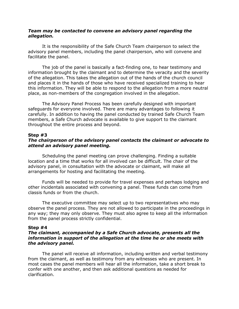### *Team may be contacted to convene an advisory panel regarding the allegation.*

It is the responsibility of the Safe Church Team chairperson to select the advisory panel members, including the panel chairperson, who will convene and facilitate the panel.

The job of the panel is basically a fact-finding one, to hear testimony and information brought by the claimant and to determine the veracity and the severity of the allegation. This takes the allegation out of the hands of the church council and places it in the hands of those who have received specialized training to hear this information. They will be able to respond to the allegation from a more neutral place, as non-members of the congregation involved in the allegation.

The Advisory Panel Process has been carefully designed with important safeguards for everyone involved. There are many advantages to following it carefully. In addition to having the panel conducted by trained Safe Church Team members, a Safe Church advocate is available to give support to the claimant throughout the entire process and beyond.

#### **Step #3**

# *The chairperson of the advisory panel contacts the claimant or advocate to attend an advisory panel meeting.*

Scheduling the panel meeting can prove challenging. Finding a suitable location and a time that works for all involved can be difficult. The chair of the advisory panel, in consultation with the advocate or claimant, will make all arrangements for hosting and facilitating the meeting.

Funds will be needed to provide for travel expenses and perhaps lodging and other incidentals associated with convening a panel. These funds can come from classis funds or from the church.

The executive committee may select up to two representatives who may observe the panel process. They are not allowed to participate in the proceedings in any way; they may only observe. They must also agree to keep all the information from the panel process strictly confidential.

#### **Step #4**

# *The claimant, accompanied by a Safe Church advocate, presents all the information in support of the allegation at the time he or she meets with the advisory panel.*

The panel will receive all information, including written and verbal testimony from the claimant, as well as testimony from any witnesses who are present. In most cases the panel members will hear all the information, take a short break to confer with one another, and then ask additional questions as needed for clarification.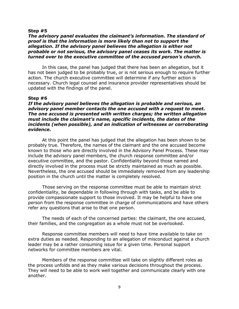#### **Step #5**

## *The advisory panel evaluates the claimant's information. The standard of proof is that the information is more likely than not to support the allegation. If the advisory panel believes the allegation is either not probable or not serious, the advisory panel ceases its work. The matter is turned over to the executive committee of the accused person's church.*

In this case, the panel has judged that there has been an allegation, but it has not been judged to be probably true, or is not serious enough to require further action. The church executive committee will determine if any further action is necessary. Church legal counsel and insurance provider representatives should be updated with the findings of the panel.

#### **Step #6**

*If the advisory panel believes the allegation is probable and serious, an advisory panel member contacts the one accused with a request to meet. The one accused is presented with written charges; the written allegation must include the claimant's name, specific incidents, the dates of the incidents (when possible), and an indication of witnesses or corroborating evidence.* 

At this point the panel has judged that the allegation has been shown to be probably true. Therefore, the names of the claimant and the one accused become known to those who are directly involved in the Advisory Panel Process. These may include the advisory panel members, the church response committee and/or executive committee, and the pastor. Confidentiality beyond those named and directly involved in the process must be strictly maintained as much as possible. Nevertheless, the one accused should be immediately removed from any leadership position in the church until the matter is completely resolved.

Those serving on the response committee must be able to maintain strict confidentiality, be dependable in following through with tasks, and be able to provide compassionate support to those involved. It may be helpful to have one person from the response committee in charge of communications and have others refer any questions that arise to that one person.

The needs of each of the concerned parties: the claimant, the one accused, their families, and the congregation as a whole must not be overlooked.

Response committee members will need to have time available to take on extra duties as needed. Responding to an allegation of misconduct against a church leader may be a rather consuming issue for a given time. Personal support networks for committee members are vital.

Members of the response committee will take on slightly different roles as the process unfolds and as they make various decisions throughout the process. They will need to be able to work well together and communicate clearly with one another.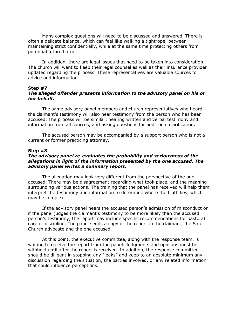Many complex questions will need to be discussed and answered. There is often a delicate balance, which can feel like walking a tightrope, between maintaining strict confidentially, while at the same time protecting others from potential future harm.

In addition, there are legal issues that need to be taken into consideration. The church will want to keep their legal counsel as well as their insurance provider updated regarding the process. These representatives are valuable sources for advice and information.

# **Step #7** *The alleged offender presents information to the advisory panel on his or her behalf.*

The same advisory panel members and church representatives who heard the claimant's testimony will also hear testimony from the person who has been accused. The process will be similar, hearing written and verbal testimony and information from all sources, and asking questions for additional clarification.

The accused person may be accompanied by a support person who is not a current or former practicing attorney.

#### **Step #8**

# *The advisory panel re-evaluates the probability and seriousness of the allegations in light of the information presented by the one accused. The advisory panel writes a summary report.*

The allegation may look very different from the perspective of the one accused. There may be disagreement regarding what took place, and the meaning surrounding various actions. The training that the panel has received will help them interpret the testimony and information to determine where the truth lies, which may be complex.

If the advisory panel hears the accused person's admission of misconduct or if the panel judges the claimant's testimony to be more likely than the accused person's testimony, the report may include specific recommendations for pastoral care or discipline. The panel sends a copy of the report to the claimant, the Safe Church advocate and the one accused.

At this point, the executive committee, along with the response team, is waiting to receive the report from the panel. Judgments and opinions must be withheld until after the report is received. In addition, the response committee should be diligent in stopping any "leaks" and keep to an absolute minimum any discussion regarding the situation, the parties involved, or any related information that could influence perceptions.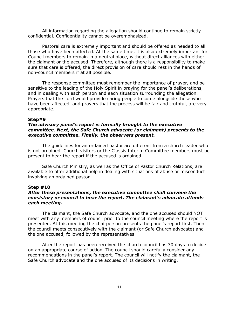All information regarding the allegation should continue to remain strictly confidential. Confidentiality cannot be overemphasized.

Pastoral care is extremely important and should be offered as needed to all those who have been affected. At the same time, it is also extremely important for Council members to remain in a neutral place, without direct alliances with either the claimant or the accused. Therefore, although there is a responsibility to make sure that care is offered, the direct provision of care should rest in the hands of non-council members if at all possible.

The response committee must remember the importance of prayer, and be sensitive to the leading of the Holy Spirit in praying for the panel's deliberations, and in dealing with each person and each situation surrounding the allegation. Prayers that the Lord would provide caring people to come alongside those who have been affected, and prayers that the process will be fair and truthful, are very appropriate.

#### **Step#9**

## *The advisory panel's report is formally brought to the executive committee. Next, the Safe Church advocate (or claimant) presents to the executive committee. Finally, the observers present.*

The guidelines for an ordained pastor are different from a church leader who is not ordained. Church visitors or the Classis Interim Committee members must be present to hear the report if the accused is ordained.

Safe Church Ministry, as well as the Office of Pastor Church Relations, are available to offer additional help in dealing with situations of abuse or misconduct involving an ordained pastor.

#### **Step #10**

## *After these presentations, the executive committee shall convene the consistory or council to hear the report. The claimant's advocate attends each meeting.*

The claimant, the Safe Church advocate, and the one accused should NOT meet with any members of council prior to the council meeting where the report is presented. At this meeting the chairperson presents the panel's report first. Then the council meets consecutively with the claimant (or Safe Church advocate) and the one accused, followed by the representatives.

After the report has been received the church council has 30 days to decide on an appropriate course of action. The council should carefully consider any recommendations in the panel's report. The council will notify the claimant, the Safe Church advocate and the one accused of its decisions in writing.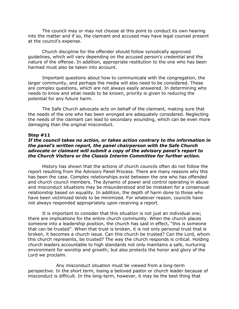The council may or may not choose at this point to conduct its own hearing into the matter and if so, the claimant and accused may have legal counsel present at the council's expense.

Church discipline for the offender should follow synodically approved guidelines, which will vary depending on the accused person's credential and the nature of the offense. In addition, appropriate restitution to the one who has been harmed must also be taken into account.

Important questions about how to communicate with the congregation, the larger community, and perhaps the media will also need to be considered. These are complex questions, which are not always easily answered. In determining who needs to know and what needs to be known, priority is given to reducing the potential for any future harm.

The Safe Church advocate acts on behalf of the claimant, making sure that the needs of the one who has been wronged are adequately considered. Neglecting the needs of the claimant can lead to secondary wounding, which can be even more damaging than the original misconduct.

#### **Step #11**

#### *If the council takes no action, or takes action contrary to the information in the panel's written report, the panel chairperson with the Safe Church advocate or claimant will submit a copy of the advisory panel's report to the Church Visitors or the Classis Interim Committee for further action.*

History has shown that the actions of church councils often do not follow the report resulting from the Advisory Panel Process. There are many reasons why this has been the case. Complex relationships exist between the one who has offended and church council members. The dynamic of power and control operating in abuse and misconduct situations may be misunderstood and be mistaken for a consensual relationship based on equality. In addition, the depth of harm done to those who have been victimized tends to be minimized. For whatever reason, councils have not always responded appropriately upon receiving a report.

It is important to consider that this situation is not just an individual one; there are implications for the entire church community. When the church places someone into a leadership position, the church has said in effect, "this is someone that can be trusted". When that trust is broken, it is not only personal trust that is broken, it becomes a church issue. Can this church be trusted? Can the Lord, whom this church represents, be trusted? The way the church responds is critical. Holding church leaders accountable to high standards not only maintains a safe, nurturing environment for worship and growth; but also protects the honor and glory of the Lord we proclaim.

Any misconduct situation must be viewed from a long-term perspective. In the short term, losing a beloved pastor or church leader because of misconduct is difficult. In the long-term, however, it may be the best thing that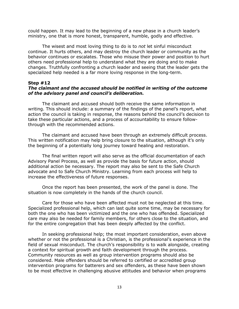could happen. It may lead to the beginning of a new phase in a church leader's ministry, one that is more honest, transparent, humble, godly and effective.

The wisest and most loving thing to do is to *not* let sinful misconduct continue. It hurts others, and may destroy the church leader or community as the behavior continues or escalates. Those who misuse their power and position to hurt others need professional help to understand what they are doing and to make changes. Truthfully confronting a church leader and seeing that the leader gets the specialized help needed is a far more loving response in the long-term.

# **Step #12**

# *The claimant and the accused should be notified in writing of the outcome of the advisory panel and council's deliberation.*

The claimant and accused should both receive the same information in writing. This should include: a summary of the findings of the panel's report, what action the council is taking in response, the reasons behind the council's decision to take these particular actions, and a process of accountability to ensure followthrough with the recommended actions.

The claimant and accused have been through an extremely difficult process. This written notification may help bring closure to the situation, although it's only the beginning of a potentially long journey toward healing and restoration.

The final written report will also serve as the official documentation of each Advisory Panel Process, as well as provide the basis for future action, should additional action be necessary. The report may also be sent to the Safe Church advocate and to Safe Church Ministry. Learning from each process will help to increase the effectiveness of future responses.

Once the report has been presented, the work of the panel is done. The situation is now completely in the hands of the church council.

Care for those who have been affected must not be neglected at this time. Specialized professional help, which can last quite some time, may be necessary for both the one who has been victimized and the one who has offended. Specialized care may also be needed for family members, for others close to the situation, and for the entire congregation that has been deeply affected by the conflict.

In seeking professional help; the most important consideration, even above whether or not the professional is a Christian, is the professional's experience in the field of sexual misconduct. The church's responsibility is to walk alongside, creating a context for spiritual growth and faith development through the process. Community resources as well as group intervention programs should also be considered. Male offenders should be referred to certified or accredited group intervention programs for batterers and sex offenders, as these have been shown to be most effective in challenging abusive attitudes and behavior when programs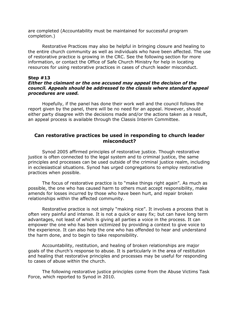are completed (Accountability must be maintained for successful program completion.)

Restorative Practices may also be helpful in bringing closure and healing to the entire church community as well as individuals who have been affected. The use of restorative practice is growing in the CRC. See the following section for more information, or contact the Office of Safe Church Ministry for help in locating resources for using restorative practices in cases of church leader misconduct.

## **Step #13**

# *Either the claimant or the one accused may appeal the decision of the council. Appeals should be addressed to the classis where standard appeal procedures are used.*

Hopefully, if the panel has done their work well and the council follows the report given by the panel, there will be no need for an appeal. However, should either party disagree with the decisions made and/or the actions taken as a result, an appeal process is available through the Classis Interim Committee.

# **Can restorative practices be used in responding to church leader misconduct?**

Synod 2005 affirmed principles of restorative justice. Though restorative justice is often connected to the legal system and to criminal justice, the same principles and processes can be used outside of the criminal justice realm, including in ecclesiastical situations. Synod has urged congregations to employ restorative practices when possible.

The focus of restorative practice is to "make things right again". As much as possible, the one who has caused harm to others must accept responsibility, make amends for losses incurred by those who have been hurt, and repair broken relationships within the affected community.

Restorative practice is not simply "making nice". It involves a process that is often very painful and intense. It is not a quick or easy fix; but can have long term advantages, not least of which is giving all parties a voice in the process. It can empower the one who has been victimized by providing a context to give voice to the experience. It can also help the one who has offended to hear and understand the harm done, and to begin to take responsibility.

Accountability, restitution, and healing of broken relationships are major goals of the church's response to abuse. It is particularly in the area of restitution and healing that restorative principles and processes may be useful for responding to cases of abuse within the church.

The following restorative justice principles come from the Abuse Victims Task Force, which reported to Synod in 2010.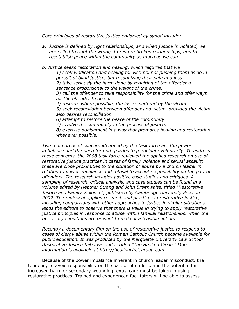*Core principles of restorative justice endorsed by synod include:*

*a. Justice is defined by right relationships, and when justice is violated, we are called to right the wrong, to restore broken relationships, and to reestablish peace within the community as much as we can.*

*b. Justice seeks restoration and healing, which requires that we 1) seek vindication and healing for victims, not pushing them aside in* 

*pursuit of blind justice, but recognizing their pain and loss.*

*2) take seriously the harm done by requiring of the offender a sentence proportional to the weight of the crime.*

*3) call the offender to take responsibility for the crime and offer ways for the offender to do so.*

*4) restore, where possible, the losses suffered by the victim.*

*5) seek reconciliation between offender and victim, provided the victim also desires reconciliation.*

*6) attempt to restore the peace of the community.*

*7) involve the community in the process of justice.*

*8) exercise punishment in a way that promotes healing and restoration whenever possible.*

*Two main areas of concern identified by the task force are the power imbalance and the need for both parties to participate voluntarily. To address these concerns, the 2008 task force reviewed the applied research on use of restorative justice practices in cases of family violence and sexual assault; these are close proximities to the situation of abuse by a church leader in*  relation to power imbalance and refusal to accept responsibility on the part of *offenders. The research includes positive case studies and critiques. A sampling of research, critical analysis, and case studies can be found in a volume edited by Heather Strang and John Braithwaite, titled "Restorative Justice and Family Violence", published by Cambridge University Press in 2002. The review of applied research and practices in restorative justice, including comparisons with other approaches to justice in similar situations,*  leads the editors to observe that there is value in trying to apply restorative *justice principles in response to abuse within familial relationships, when the necessary conditions are present to make it a feasible option.* 

*Recently a documentary film on the use of restorative justice to respond to cases of clergy abuse within the Roman Catholic Church became available for public education. It was produced by the Marquette University Law School Restorative Justice Initiative and is titled "The Healing Circle." More information is available at http://healingcirclegroup.com.*

Because of the power imbalance inherent in church leader misconduct, the tendency to avoid responsibility on the part of offenders, and the potential for increased harm or secondary wounding, extra care must be taken in using restorative practices. Trained and experienced facilitators will be able to assess